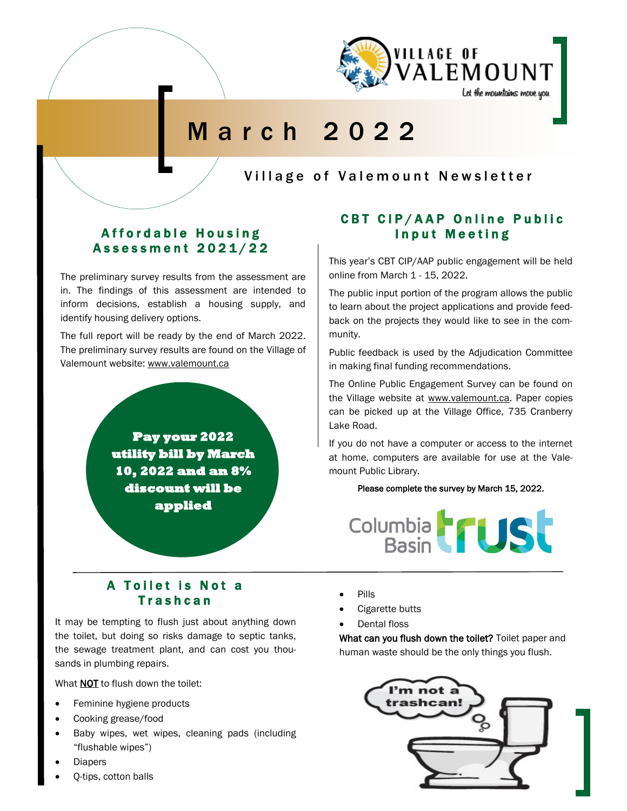

# M a r c h 2 0 2 2

Village of Valemount Newsletter

## Affordable Housing Assessment 2021/22

The preliminary survey results from the assessment are in. The findings of this assessment are intended to inform decisions, establish a housing supply, and identify housing delivery options.

The full report will be ready by the end of March 2022. The preliminary survey results are found on the Village of Valemount website: www.valemount.ca

> **Pay your 2022 utility bill by March 10, 2022 and an 8% discount will be applied**

## CBT CIP/AAP Online Public Input Meeting

This year's CBT CIP/AAP public engagement will be held online from March 1 - 15, 2022.

The public input portion of the program allows the public to learn about the project applications and provide feedback on the projects they would like to see in the community.

Public feedback is used by the Adjudication Committee in making final funding recommendations.

The Online Public Engagement Survey can be found on the Village website at www.valemount.ca. Paper copies can be picked up at the Village Office, 735 Cranberry Lake Road.

If you do not have a computer or access to the internet at home, computers are available for use at the Valemount Public Library.

#### Please complete the survey by March 15, 2022.



## A Toilet is Not a **Trashcan**

It may be tempting to flush just about anything down the toilet, but doing so risks damage to septic tanks, the sewage treatment plant, and can cost you thousands in plumbing repairs.

What **NOT** to flush down the toilet:

- Feminine hygiene products
- Cooking grease/food
- Baby wipes, wet wipes, cleaning pads (including "flushable wipes")
- **Diapers**
- Q-tips, cotton balls
- Pills
- Cigarette butts
- Dental floss

What can you flush down the toilet? Toilet paper and human waste should be the only things you flush.